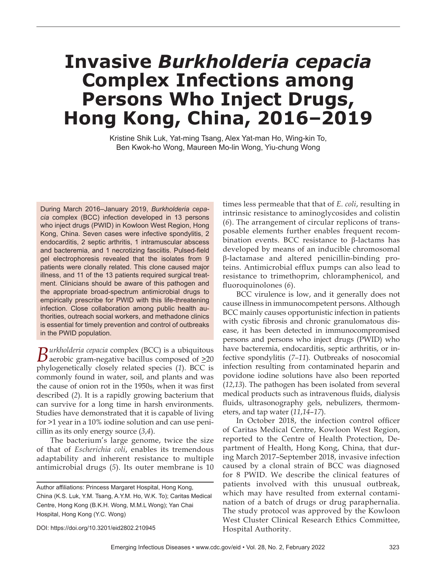# **Invasive** *Burkholderia cepacia* **Complex Infections among Persons Who Inject Drugs, Hong Kong, China, 2016–2019**

Kristine Shik Luk, Yat-ming Tsang, Alex Yat-man Ho, Wing-kin To, Ben Kwok-ho Wong, Maureen Mo-lin Wong, Yiu-chung Wong

During March 2016-January 2019, Burkholderia cepa*cia* complex (BCC) infection developed in 13 persons who inject drugs (PWID) in Kowloon West Region, Hong Kong, China. Seven cases were infective spondylitis, 2 endocarditis, 2 septic arthritis, 1 intramuscular abscess and bacteremia, and 1 necrotizing fasciitis. Pulsed-field gel electrophoresis revealed that the isolates from 9 patients were clonally related. This clone caused major illness, and 11 of the 13 patients required surgical treatment. Clinicians should be aware of this pathogen and the appropriate broad-spectrum antimicrobial drugs to empirically prescribe for PWID with this life-threatening infection. Close collaboration among public health authorities, outreach social workers, and methadone clinics is essential for timely prevention and control of outbreaks in the PWID population.

 $B$ urkholderia cepacia complex (BCC) is a ubiquitous aerobic gram-negative bacillus composed of  $\geq 20$ phylogenetically closely related species (*1*). BCC is commonly found in water, soil, and plants and was the cause of onion rot in the 1950s, when it was first described (*2*). It is a rapidly growing bacterium that can survive for a long time in harsh environments. Studies have demonstrated that it is capable of living for >1 year in a 10% iodine solution and can use penicillin as its only energy source (*3*,*4*).

The bacterium's large genome, twice the size of that of *Escherichia coli*, enables its tremendous adaptability and inherent resistance to multiple antimicrobial drugs (*5*). Its outer membrane is 10

DOI: https://doi.org/10.3201/eid2802.210945

times less permeable that that of *E. coli*, resulting in intrinsic resistance to aminoglycosides and colistin (*6*). The arrangement of circular replicons of transposable elements further enables frequent recombination events. BCC resistance to β-lactams has developed by means of an inducible chromosomal β-lactamase and altered penicillin-binding proteins. Antimicrobial efflux pumps can also lead to resistance to trimethoprim, chloramphenicol, and fluoroquinolones (6).

BCC virulence is low, and it generally does not cause illness in immunocompetent persons. Although BCC mainly causes opportunistic infection in patients with cystic fibrosis and chronic granulomatous disease, it has been detected in immunocompromised persons and persons who inject drugs (PWID) who have bacteremia, endocarditis, septic arthritis, or infective spondylitis (*7–11*)*.* Outbreaks of nosocomial infection resulting from contaminated heparin and povidone iodine solutions have also been reported (*12*,*13*). The pathogen has been isolated from several medical products such as intravenous fluids, dialysis fluids, ultrasonography gels, nebulizers, thermometers, and tap water (*11*,*14*–*17*).

In October 2018, the infection control officer of Caritas Medical Centre, Kowloon West Region, reported to the Centre of Health Protection, Department of Health, Hong Kong, China, that during March 2017–September 2018, invasive infection caused by a clonal strain of BCC was diagnosed for 8 PWID. We describe the clinical features of patients involved with this unusual outbreak, which may have resulted from external contamination of a batch of drugs or drug paraphernalia. The study protocol was approved by the Kowloon West Cluster Clinical Research Ethics Committee, Hospital Authority.

Author affiliations: Princess Margaret Hospital, Hong Kong, China (K.S. Luk, Y.M. Tsang, A.Y.M. Ho, W.K. To); Caritas Medical Centre, Hong Kong (B.K.H. Wong, M.M.L Wong); Yan Chai Hospital, Hong Kong (Y.C. Wong)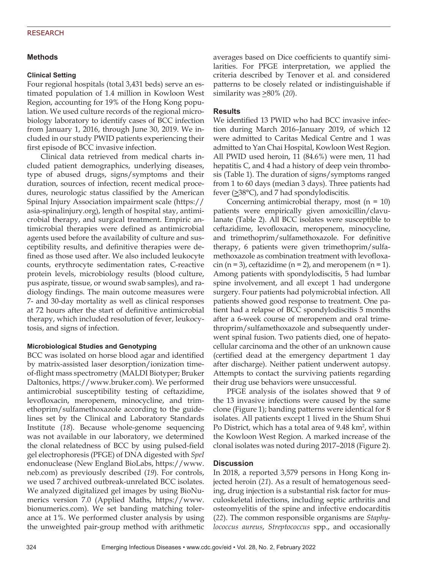# **Methods**

#### **Clinical Setting**

Four regional hospitals (total 3,431 beds) serve an estimated population of 1.4 million in Kowloon West Region, accounting for 19% of the Hong Kong population. We used culture records of the regional microbiology laboratory to identify cases of BCC infection from January 1, 2016, through June 30, 2019. We included in our study PWID patients experiencing their first episode of BCC invasive infection.

Clinical data retrieved from medical charts included patient demographics, underlying diseases, type of abused drugs, signs/symptoms and their duration, sources of infection, recent medical procedures, neurologic status classified by the American Spinal Injury Association impairment scale (https:// asia-spinalinjury.org), length of hospital stay, antimicrobial therapy, and surgical treatment. Empiric antimicrobial therapies were defined as antimicrobial agents used before the availability of culture and susceptibility results, and definitive therapies were defined as those used after. We also included leukocyte counts, erythrocyte sedimentation rates, C-reactive protein levels, microbiology results (blood culture, pus aspirate, tissue, or wound swab samples), and radiology findings. The main outcome measures were 7- and 30-day mortality as well as clinical responses at 72 hours after the start of definitive antimicrobial therapy, which included resolution of fever, leukocytosis, and signs of infection.

#### **Microbiological Studies and Genotyping**

BCC was isolated on horse blood agar and identified by matrix-assisted laser desorption/ionization timeof-flight mass spectrometry (MALDI Biotyper; Bruker Daltonics, https://www.bruker.com). We performed antimicrobial susceptibility testing of ceftazidime, levofloxacin, meropenem, minocycline, and trimethoprim/sulfamethoxazole according to the guidelines set by the Clinical and Laboratory Standards Institute (*18*). Because whole-genome sequencing was not available in our laboratory, we determined the clonal relatedness of BCC by using pulsed-field gel electrophoresis (PFGE) of DNA digested with *SpeI* endonuclease (New England BioLabs, https://www. neb.com) as previously described (*19*). For controls, we used 7 archived outbreak-unrelated BCC isolates. We analyzed digitalized gel images by using BioNumerics version 7.0 (Applied Maths, https://www. bionumerics.com). We set banding matching tolerance at 1%. We performed cluster analysis by using the unweighted pair-group method with arithmetic

averages based on Dice coefficients to quantify similarities. For PFGE interpretation, we applied the criteria described by Tenover et al. and considered patterns to be closely related or indistinguishable if similarity was  $\geq 80\%$  (20).

### **Results**

We identified 13 PWID who had BCC invasive infection during March 2016–January 2019, of which 12 were admitted to Caritas Medical Centre and 1 was admitted to Yan Chai Hospital, Kowloon West Region. All PWID used heroin, 11 (84.6%) were men, 11 had hepatitis C, and 4 had a history of deep vein thrombosis (Table 1). The duration of signs/symptoms ranged from 1 to 60 days (median 3 days). Three patients had fever  $(\geq 38^{\circ}C)$ , and 7 had spondylodiscitis.

Concerning antimicrobial therapy, most  $(n = 10)$ patients were empirically given amoxicillin/clavulanate (Table 2). All BCC isolates were susceptible to ceftazidime, levofloxacin, meropenem, minocycline, and trimethoprim/sulfamethoxazole. For definitive therapy, 6 patients were given trimethoprim/sulfamethoxazole as combination treatment with levofloxacin  $(n = 3)$ , ceftazidime  $(n = 2)$ , and meropenem  $(n = 1)$ . Among patients with spondylodiscitis, 5 had lumbar spine involvement, and all except 1 had undergone surgery. Four patients had polymicrobial infection. All patients showed good response to treatment. One patient had a relapse of BCC spondylodiscitis 5 months after a 6-week course of meropenem and oral trimethroprim/sulfamethoxazole and subsequently underwent spinal fusion. Two patients died, one of hepatocellular carcinoma and the other of an unknown cause (certified dead at the emergency department 1 day after discharge). Neither patient underwent autopsy. Attempts to contact the surviving patients regarding their drug use behaviors were unsuccessful.

PFGE analysis of the isolates showed that 9 of the 13 invasive infections were caused by the same clone (Figure 1); banding patterns were identical for 8 isolates. All patients except 1 lived in the Shum Shui Po District, which has a total area of 9.48 km<sup>2</sup>, within the Kowloon West Region. A marked increase of the clonal isolates was noted during 2017–2018 (Figure 2).

# **Discussion**

In 2018, a reported 3,579 persons in Hong Kong injected heroin (*21*). As a result of hematogenous seeding, drug injection is a substantial risk factor for musculoskeletal infections, including septic arthritis and osteomyelitis of the spine and infective endocarditis (*22*). The common responsible organisms are *Staphylococcus aureus*, *Streptococcus* spp., and occasionally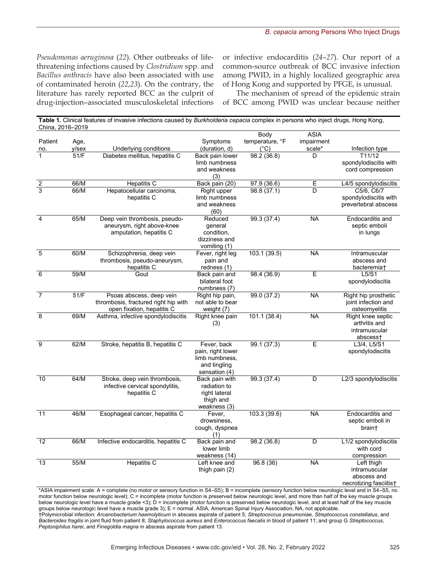*Pseudomonas aeruginosa* (*22*)*.* Other outbreaks of lifethreatening infections caused by *Clostridium* spp. and *Bacillus anthracis* have also been associated with use of contaminated heroin (*22*,*23*). On the contrary, the literature has rarely reported BCC as the culprit of drug-injection–associated musculoskeletal infections

or infective endocarditis (*24*–*27*). Our report of a common-source outbreak of BCC invasive infection among PWID, in a highly localized geographic area of Hong Kong and supported by PFGE, is unusual.

The mechanism of spread of the epidemic strain of BCC among PWID was unclear because neither

| China, 2016-2019 |       |                                      |                               |                 |                |                         |
|------------------|-------|--------------------------------------|-------------------------------|-----------------|----------------|-------------------------|
|                  |       |                                      |                               | Body            | <b>ASIA</b>    |                         |
| Patient          | Age,  |                                      | Symptoms                      | temperature, °F | impairment     |                         |
| no.              | y/sex | Underlying conditions                | (duration, d)                 | (°C)            | scale*         | Infection type          |
|                  | 51/F  | Diabetes mellitus, hepatitis C       | Back pain lower               | 98.2 (36.8)     | D              | T11/12                  |
|                  |       |                                      | limb numbness                 |                 |                | spondylodiscitis with   |
|                  |       |                                      | and weakness                  |                 |                | cord compression        |
|                  |       |                                      | (3)                           |                 |                |                         |
| $\frac{2}{3}$    | 66/M  | Hepatitis C                          | Back pain (20)                | 97.9(36.6)      | $\overline{E}$ | L4/5 spondylodiscitis   |
|                  | 66/M  | Hepatocellular carcinoma,            | Right upper                   | 98.8 (37.1)     | D              | C5/6, C6/7              |
|                  |       | hepatitis C                          | limb numbness<br>and weakness |                 |                | spondylodiscitis with   |
|                  |       |                                      | (60)                          |                 |                | prevertebral abscess    |
| 4                | 65/M  | Deep vein thrombosis, pseudo-        | Reduced                       | 99.3(37.4)      | <b>NA</b>      | Endocarditis and        |
|                  |       | aneurysm, right above-knee           | qeneral                       |                 |                | septic emboli           |
|                  |       | amputation, hepatitis C              | condition,                    |                 |                | in lungs                |
|                  |       |                                      | dizziness and                 |                 |                |                         |
|                  |       |                                      | vomiting (1)                  |                 |                |                         |
| 5                | 60/M  | Schizophrenia, deep vein             | Fever, right leg              | 103.1(39.5)     | <b>NA</b>      | Intramuscular           |
|                  |       | thrombosis, pseudo-aneurysm,         | pain and                      |                 |                | abscess and             |
|                  |       | hepatitis C                          | redness (1)                   |                 |                | bacteremia <sup>+</sup> |
| 6                | 59/M  | Gout                                 | Back pain and                 | 98.4 (36.9)     | $\overline{E}$ | L5/S1                   |
|                  |       |                                      | bilateral foot                |                 |                | spondylodiscitis        |
|                  |       |                                      | numbness (7)                  |                 |                |                         |
| $\overline{7}$   | 51/F  | Psoas abscess, deep vein             | Right hip pain,               | 99.0 (37.2)     | <b>NA</b>      | Right hip prosthetic    |
|                  |       | thrombosis, fractured right hip with | not able to bear              |                 |                | joint infection and     |
|                  |       | open fixation, hepatitis C           | weight (7)                    |                 |                | osteomyelitis           |
| 8                | 69/M  | Asthma, infective spondylodiscitis   | Right knee pain               | 101.1(38.4)     | <b>NA</b>      | Right knee septic       |
|                  |       |                                      | (3)                           |                 |                | arthritis and           |
|                  |       |                                      |                               |                 |                | intramuscular           |
| 9                | 62/M  | Stroke, hepatitis B, hepatitis C     | Fever, back                   | 99.1(37.3)      | $\overline{E}$ | abscess†<br>L3/4, L5/S1 |
|                  |       |                                      | pain, right lower             |                 |                | spondylodiscitis        |
|                  |       |                                      | limb numbness,                |                 |                |                         |
|                  |       |                                      | and tingling                  |                 |                |                         |
|                  |       |                                      | sensation (4)                 |                 |                |                         |
| 10               | 64/M  | Stroke, deep vein thrombosis,        | Back pain with                | 99.3 (37.4)     | D              | L2/3 spondylodiscitis   |
|                  |       | infective cervical spondylitis,      | radiation to                  |                 |                |                         |
|                  |       | hepatitis C                          | right lateral                 |                 |                |                         |
|                  |       |                                      | thigh and                     |                 |                |                         |
|                  |       |                                      | weakness (3)                  |                 |                |                         |
| 11               | 46/M  | Esophageal cancer, hepatitis C       | Fever,                        | 103.3(39.6)     | <b>NA</b>      | Endocarditis and        |
|                  |       |                                      | drowsiness,                   |                 |                | septic emboli in        |
|                  |       |                                      | cough, dyspnea                |                 |                | brain†                  |
|                  |       |                                      | (1)                           |                 |                |                         |
| 12               | 66/M  | Infective endocarditis, hepatitis C  | Back pain and                 | 98.2 (36.8)     | D              | L1/2 spondylodiscitis   |
|                  |       |                                      | lower limb                    |                 |                | with cord               |
|                  |       |                                      | weakness (14)                 |                 |                | compression             |
| 13               | 55/M  | <b>Hepatitis C</b>                   | Left knee and                 | 96.8(36)        | <b>NA</b>      | Left thigh              |
|                  |       |                                      | thigh pain (2)                |                 |                | intramuscular           |
|                  |       |                                      |                               |                 |                | abscess and             |
|                  |       |                                      |                               |                 |                | necrotizing fasciitis†  |

**Table 1.** Clinical features of invasive infections caused by *Burkholderia cepacia* complex in persons who inject drugs. Hong Kong

 $^*$ ASIA impairment scale: A = complete (no motor or sensory function in S4–S5); B = incomplete (sensory function below neurologic level and in S4–S5, no motor function below neurologic level); C = incomplete (motor function is preserved below neurologic level, and more than half of the key muscle groups below neurologic level have a muscle grade <3); D = incomplete (motor function is preserved below neurologic level, and at least half of the key muscle groups below neurologic level have a muscle grade 3); E = normal. ASIA, American Spinal Injury Association; NA, not applicable. †Polymicrobial infection: *Arcanobacterium haemolyticum* in abscess aspirate of patient 5; *Streptococcus pneumoniae, Streptococcus constellatus*, and 

Bacteroides fragilis in joint fluid from patient 8; Staphylococcus aureus and Enterococcus faecalis in blood of patient 11; and group G Streptococcus, *Peptoniphilus harei, and Finegoldia magna* in abscess aspirate from patient 13.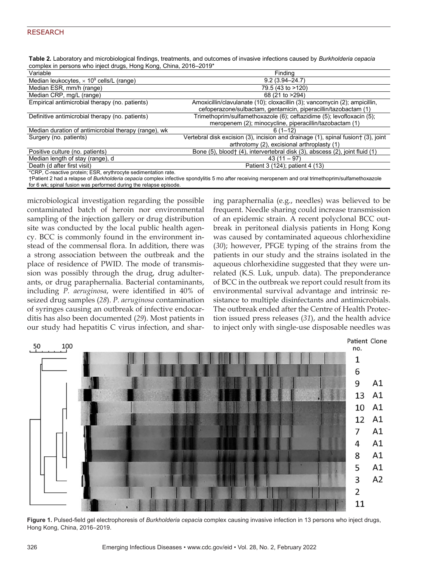| Table 2. Laboratory and microbiological findings, treatments, and outcomes of invasive infections caused by Burkholderia cepacia |  |
|----------------------------------------------------------------------------------------------------------------------------------|--|
| complex in persons who inject drugs, Hong Kong, China, 2016–2019*                                                                |  |

| Variable                                                                                                                                             | Findina                                                                            |  |  |  |  |
|------------------------------------------------------------------------------------------------------------------------------------------------------|------------------------------------------------------------------------------------|--|--|--|--|
| Median leukocytes, $\times$ 10 <sup>9</sup> cells/L (range)                                                                                          | $9.2(3.94 - 24.7)$                                                                 |  |  |  |  |
| Median ESR, mm/h (range)                                                                                                                             | 79.5 (43 to >120)                                                                  |  |  |  |  |
| Median CRP, mg/L (range)                                                                                                                             | 68 (21 to >294)                                                                    |  |  |  |  |
| Empirical antimicrobial therapy (no. patients)                                                                                                       | Amoxicillin/clavulanate (10); cloxacillin (3); vancomycin (2); ampicillin,         |  |  |  |  |
|                                                                                                                                                      | cefoperazone/sulbactam, gentamicin, piperacillin/tazobactam (1)                    |  |  |  |  |
| Definitive antimicrobial therapy (no. patients)                                                                                                      | Trimethoprim/sulfamethoxazole (6); ceftazidime (5); levofloxacin (5);              |  |  |  |  |
|                                                                                                                                                      | meropenem (2); minocycline, piperacillin/tazobactam (1)                            |  |  |  |  |
| Median duration of antimicrobial therapy (range), wk                                                                                                 | $6(1-12)$                                                                          |  |  |  |  |
| Surgery (no. patients)                                                                                                                               | Vertebral disk excision (3), incision and drainage (1), spinal fusion f (3), joint |  |  |  |  |
|                                                                                                                                                      | arthrotomy (2), excisional arthroplasty (1)                                        |  |  |  |  |
| Positive culture (no. patients)                                                                                                                      | Bone (5), blood† (4), intervertebral disk (3), abscess (2), joint fluid (1)        |  |  |  |  |
| Median length of stay (range), d                                                                                                                     | $43(11 - 97)$                                                                      |  |  |  |  |
| Death (d after first visit)                                                                                                                          | Patient 3 (124); patient 4 (13)                                                    |  |  |  |  |
| *CRP, C-reactive protein; ESR, erythrocyte sedimentation rate.                                                                                       |                                                                                    |  |  |  |  |
| †Patient 2 had a relapse of Burkholderia cepacia complex infective spondylitis 5 mo after receiving meropenem and oral trimethoprim/sulfamethoxazole |                                                                                    |  |  |  |  |
| for 6 wk; spinal fusion was performed during the relapse episode.                                                                                    |                                                                                    |  |  |  |  |

microbiological investigation regarding the possible contaminated batch of heroin nor environmental sampling of the injection gallery or drug distribution site was conducted by the local public health agency. BCC is commonly found in the environment instead of the commensal flora. In addition, there was a strong association between the outbreak and the place of residence of PWID. The mode of transmission was possibly through the drug, drug adulterants, or drug paraphernalia. Bacterial contaminants, including *P. aeruginosa*, were identified in 40% of seized drug samples (*28*). *P. aeruginosa* contamination of syringes causing an outbreak of infective endocarditis has also been documented (*29*). Most patients in our study had hepatitis C virus infection, and sharing paraphernalia (e.g., needles) was believed to be frequent. Needle sharing could increase transmission of an epidemic strain. A recent polyclonal BCC outbreak in peritoneal dialysis patients in Hong Kong was caused by contaminated aqueous chlorhexidine (*30*); however, PFGE typing of the strains from the patients in our study and the strains isolated in the aqueous chlorhexidine suggested that they were unrelated (K.S. Luk, unpub. data). The preponderance of BCC in the outbreak we report could result from its environmental survival advantage and intrinsic resistance to multiple disinfectants and antimicrobials. The outbreak ended after the Centre of Health Protection issued press releases (*31*), and the health advice to inject only with single-use disposable needles was



**Figure 1.** Pulsed-field gel electrophoresis of *Burkholderia cepacia* complex causing invasive infection in 13 persons who inject drugs, Hong Kong, China, 2016–2019.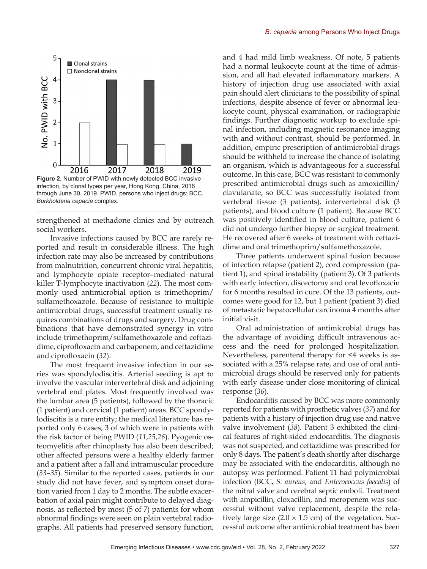

strengthened at methadone clinics and by outreach social workers.

Invasive infections caused by BCC are rarely reported and result in considerable illness. The high infection rate may also be increased by contributions from malnutrition, concurrent chronic viral hepatitis, and lymphocyte opiate receptor–mediated natural killer T-lymphocyte inactivation (*22*). The most commonly used antimicrobial option is trimethoprim/ sulfamethoxazole. Because of resistance to multiple antimicrobial drugs, successful treatment usually requires combinations of drugs and surgery. Drug combinations that have demonstrated synergy in vitro include trimethoprim/sulfamethoxazole and ceftazidime, ciprofloxacin and carbapenem, and ceftazidime and ciprofloxacin (*32*).

The most frequent invasive infection in our series was spondylodiscitis. Arterial seeding is apt to involve the vascular intervertebral disk and adjoining vertebral end plates. Most frequently involved was the lumbar area (5 patients), followed by the thoracic (1 patient) and cervical (1 patient) areas. BCC spondylodiscitis is a rare entity; the medical literature has reported only 6 cases, 3 of which were in patients with the risk factor of being PWID (*11*,*25*,*26*). Pyogenic osteomyelitis after rhinoplasty has also been described; other affected persons were a healthy elderly farmer and a patient after a fall and intramuscular procedure (*33*–*35*). Similar to the reported cases, patients in our study did not have fever, and symptom onset duration varied from 1 day to 2 months. The subtle exacerbation of axial pain might contribute to delayed diagnosis, as reflected by most (5 of 7) patients for whom abnormal findings were seen on plain vertebral radiographs. All patients had preserved sensory function,

and 4 had mild limb weakness. Of note, 5 patients had a normal leukocyte count at the time of admission, and all had elevated inflammatory markers. A history of injection drug use associated with axial pain should alert clinicians to the possibility of spinal infections, despite absence of fever or abnormal leukocyte count, physical examination, or radiographic findings. Further diagnostic workup to exclude spinal infection, including magnetic resonance imaging with and without contrast, should be performed. In addition, empiric prescription of antimicrobial drugs should be withheld to increase the chance of isolating an organism, which is advantageous for a successful outcome. In this case, BCC was resistant to commonly prescribed antimicrobial drugs such as amoxicillin/ clavulanate, so BCC was successfully isolated from vertebral tissue (3 patients). intervertebral disk (3 patients), and blood culture (1 patient). Because BCC was positively identified in blood culture, patient 6 did not undergo further biopsy or surgical treatment. He recovered after 6 weeks of treatment with ceftazidime and oral trimethoprim/sulfamethoxazole.

Three patients underwent spinal fusion because of infection relapse (patient 2), cord compression (patient 1), and spinal instability (patient 3). Of 3 patients with early infection, discectomy and oral levofloxacin for 6 months resulted in cure. Of the 13 patients, outcomes were good for 12, but 1 patient (patient 3) died of metastatic hepatocellular carcinoma 4 months after initial visit.

Oral administration of antimicrobial drugs has the advantage of avoiding difficult intravenous access and the need for prolonged hospitalization. Nevertheless, parenteral therapy for <4 weeks is associated with a 25% relapse rate, and use of oral antimicrobial drugs should be reserved only for patients with early disease under close monitoring of clinical response (*36*).

Endocarditis caused by BCC was more commonly reported for patients with prosthetic valves (*37*) and for patients with a history of injection drug use and native valve involvement (*38*). Patient 3 exhibited the clinical features of right-sided endocarditis. The diagnosis was not suspected, and ceftazidime was prescribed for only 8 days. The patient's death shortly after discharge may be associated with the endocarditis, although no autopsy was performed. Patient 11 had polymicrobial infection (BCC, *S. aureus*, and *Enterococcus faecalis*) of the mitral valve and cerebral septic emboli. Treatment with ampicillin, cloxacillin, and meropenem was successful without valve replacement, despite the relatively large size  $(2.0 \times 1.5$  cm) of the vegetation. Successful outcome after antimicrobial treatment has been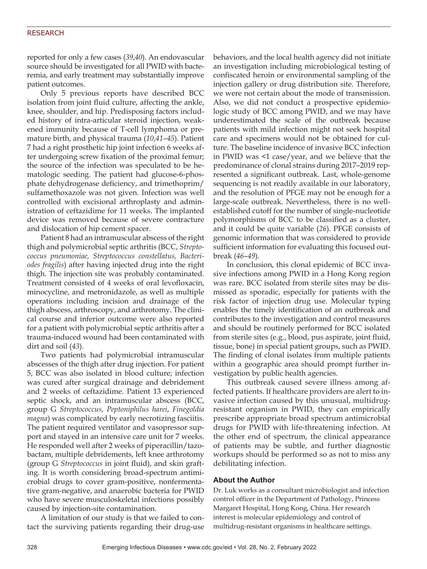reported for only a few cases (*39*,*40*). An endovascular source should be investigated for all PWID with bacteremia, and early treatment may substantially improve patient outcomes.

Only 5 previous reports have described BCC isolation from joint fluid culture, affecting the ankle, knee, shoulder, and hip. Predisposing factors included history of intra-articular steroid injection, weakened immunity because of T-cell lymphoma or premature birth, and physical trauma (*10*,*41*–*45*). Patient 7 had a right prosthetic hip joint infection 6 weeks after undergoing screw fixation of the proximal femur; the source of the infection was speculated to be hematologic seeding. The patient had glucose-6-phosphate dehydrogenase deficiency, and trimethoprim/ sulfamethoxazole was not given. Infection was well controlled with excisional arthroplasty and administration of ceftazidime for 11 weeks. The implanted device was removed because of severe contracture and dislocation of hip cement spacer.

Patient 8 had an intramuscular abscess of the right thigh and polymicrobial septic arthritis (BCC, *Streptococcus pneumoniae, Streptococcus constellatus, Bacteriodes fragilis*) after having injected drug into the right thigh. The injection site was probably contaminated. Treatment consisted of 4 weeks of oral levofloxacin, minocycline, and metronidazole, as well as multiple operations including incision and drainage of the thigh abscess, arthroscopy, and arthrotomy. The clinical course and inferior outcome were also reported for a patient with polymicrobial septic arthritis after a trauma-induced wound had been contaminated with dirt and soil (*43*).

Two patients had polymicrobial intramuscular abscesses of the thigh after drug injection. For patient 5, BCC was also isolated in blood culture; infection was cured after surgical drainage and debridement and 2 weeks of ceftazidime. Patient 13 experienced septic shock, and an intramuscular abscess (BCC, group G *Streptococcus*, *Peptoniphilus harei*, *Finegoldia magna*) was complicated by early necrotizing fasciitis. The patient required ventilator and vasopressor support and stayed in an intensive care unit for 7 weeks. He responded well after 2 weeks of piperacillin/tazobactam, multiple debridements, left knee arthrotomy (group G *Streptococcus* in joint fluid), and skin grafting. It is worth considering broad-spectrum antimicrobial drugs to cover gram-positive, nonfermentative gram-negative, and anaerobic bacteria for PWID who have severe musculoskeletal infections possibly caused by injection-site contamination.

A limitation of our study is that we failed to contact the surviving patients regarding their drug-use behaviors, and the local health agency did not initiate an investigation including microbiological testing of confiscated heroin or environmental sampling of the injection gallery or drug distribution site. Therefore, we were not certain about the mode of transmission. Also, we did not conduct a prospective epidemiologic study of BCC among PWID, and we may have underestimated the scale of the outbreak because patients with mild infection might not seek hospital care and specimens would not be obtained for culture. The baseline incidence of invasive BCC infection in PWID was <1 case/year, and we believe that the predominance of clonal strains during 2017–2019 represented a significant outbreak. Last, whole-genome sequencing is not readily available in our laboratory, and the resolution of PFGE may not be enough for a large-scale outbreak. Nevertheless, there is no wellestablished cutoff for the number of single-nucleotide polymorphisms of BCC to be classified as a cluster, and it could be quite variable (*26*). PFGE consists of genomic information that was considered to provide sufficient information for evaluating this focused outbreak (*46*–*49*).

In conclusion, this clonal epidemic of BCC invasive infections among PWID in a Hong Kong region was rare. BCC isolated from sterile sites may be dismissed as sporadic, especially for patients with the risk factor of injection drug use. Molecular typing enables the timely identification of an outbreak and contributes to the investigation and control measures and should be routinely performed for BCC isolated from sterile sites (e.g., blood, pus aspirate, joint fluid, tissue, bone) in special patient groups, such as PWID. The finding of clonal isolates from multiple patients within a geographic area should prompt further investigation by public health agencies.

This outbreak caused severe illness among affected patients. If healthcare providers are alert to invasive infection caused by this unusual, multidrugresistant organism in PWID, they can empirically prescribe appropriate broad spectrum antimicrobial drugs for PWID with life-threatening infection. At the other end of spectrum, the clinical appearance of patients may be subtle, and further diagnostic workups should be performed so as not to miss any debilitating infection.

### **About the Author**

Dr. Luk works as a consultant microbiologist and infection control officer in the Department of Pathology, Princess Margaret Hospital, Hong Kong, China. Her research interest is molecular epidemiology and control of multidrug-resistant organisms in healthcare settings.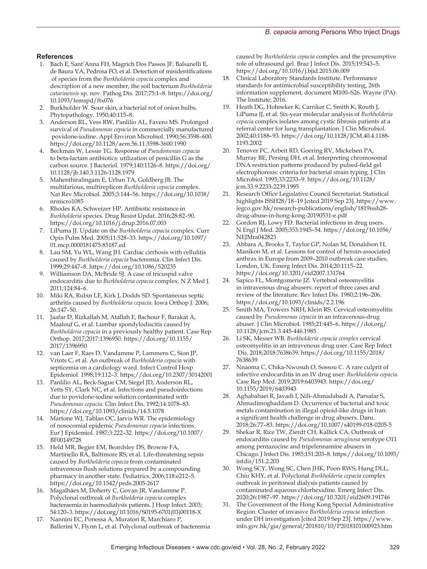#### **References**

- 1. Bach E, Sant'Anna FH, Magrich Dos Passos JF, Balsanelli E, de Baura VA, Pedrosa FO, et al. Detection of misidentifications of species from the *Burkholderia cepacia* complex and description of a new member, the soil bacterium *Burkholderia catarinensis* sp. nov. Pathog Dis. 2017;75:1–8. https://doi.org/ 10.1093/femspd/ftx076
- 2. Burkholder W. Sour skin, a bacterial rot of onion bulbs. Phytopathology. 1950;40:115–8.
- 3. Anderson RL, Vess RW, Panlilio AL, Favero MS. Prolonged survival of *Pseudomonas cepacia* in commercially manufactured povidone-iodine. Appl Environ Microbiol. 1990;56:3598–600. https://doi.org/10.1128/aem.56.11.3598-3600.1990
- 4. Beckman W, Lessie TG. Response of *Pseudomonas cepacia* to beta-lactam antibiotics: utilization of penicillin G as the carbon source. J Bacteriol. 1979;140:1126–8. https://doi.org/ 10.1128/jb.140.3.1126-1128.1979
- 5. Mahenthiralingam E, Urban TA, Goldberg JB. The multifarious, multireplicon *Burkholderia cepacia* complex. Nat Rev Microbiol. 2005;3:144–56. https://doi.org/10.1038/ nrmicro1085
- 6. Rhodes KA, Schweizer HP. Antibiotic resistance in *Burkholderia* species. Drug Resist Updat. 2016;28:82–90. https://doi.org/10.1016/j.drup.2016.07.003
- 7. LiPuma JJ. Update on the *Burkholderia cepacia* complex. Curr Opin Pulm Med. 2005;11:528–33. https://doi.org/10.1097/ 01.mcp.0000181475.85187.ed
- 8. Lau SM, Yu WL, Wang JH. Cardiac cirrhosis with cellulitis caused by *Burkholderia cepacia* bacteremia. Clin Infect Dis. 1999;29:447–8. https://doi.org/10.1086/520235
- 9. Williamson DA, McBride SJ. A case of tricuspid valve endocarditis due to *Burkholderia cepacia* complex. N Z Med J. 2011;124:84–6.
- 10. Miki RA, Rubin LE, Kirk J, Dodds SD. Spontaneous septic arthritis caused by *Burkholderia cepacia.* Iowa Orthop J. 2006; 26:147–50.
- 11. Jaafar D, Rizkallah M, Atallah F, Bachour F, Barakat A, Maalouf G, et al. Lumbar spondylodiscitis caused by *Burkholderia cepacia* in a previously healthy patient. Case Rep Orthop. 2017;2017:1396950. https://doi.org/10.1155/ 2017/1396950
- 12. van Laer F, Raes D, Vandamme P, Lammens C, Sion JP, Vrints C, et al. An outbreak of *Burkholderia cepacia* with septicemia on a cardiology ward. Infect Control Hosp Epidemiol. 1998;19:112–3. https://doi.org/10.2307/30142001
- 13. Panlilio AL, Beck-Sague CM, Siegel JD, Anderson RL, Yetts SY, Clark NC, et al. Infections and pseudoinfections due to povidone-iodine solution contaminated with *Pseudomonas cepacia.* Clin Infect Dis. 1992;14:1078–83. https://doi.org/10.1093/clinids/14.5.1078
- 14. Martone WJ, Tablan OC, Jarvis WR. The epidemiology of nosocomial epidemic *Pseudomonas cepacia* infections. Eur J Epidemiol. 1987;3:222–32. https://doi.org/10.1007/ BF00149728
- 15. Held MR, Begier EM, Beardsley DS, Browne FA, Martinello RA, Baltimore RS, et al. Life-threatening sepsis caused by *Burkholderia cepacia* from contaminated intravenous flush solutions prepared by a compounding pharmacy in another state. Pediatrics. 2006;118:e212–5. https://doi.org/10.1542/peds.2005-2617
- 16. Magalhães M, Doherty C, Govan JR, Vandamme P. Polyclonal outbreak of *Burkholderia cepacia* complex bacteraemia in haemodialysis patients. J Hosp Infect. 2003; 54:120–3. https://doi.org/10.1016/S0195-6701(03)00118-X
- 17. Nannini EC, Ponessa A, Muratori R, Marchiaro P, Ballerini V, Flynn L, et al. Polyclonal outbreak of bacteremia

caused by *Burkholderia cepacia* complex and the presumptive role of ultrasound gel. Braz J Infect Dis. 2015;19:543–5. https://doi.org/10.1016/j.bjid.2015.06.009

- 18. Clinical Laboratory Standards Institute. Performance standards for antimicrobial susceptibility testing, 26th information supplement, document M100–S26. Wayne (PA): The Institute; 2016.
- 19. Heath DG, Hohneker K, Carriker C, Smith K, Routh J, LiPuma JJ, et al. Six-year molecular analysis of *Burkholderia cepacia* complex isolates among cystic fibrosis patients at a referral center for lung transplantation. J Clin Microbiol. 2002;40:1188–93. https://doi.org/10.1128/JCM.40.4.1188- 1193.2002
- 20. Tenover FC, Arbeit RD, Goering RV, Mickelsen PA, Murray BE, Persing DH, et al. Interpreting chromosomal DNA restriction patterns produced by pulsed-field gel electrophoresis: criteria for bacterial strain typing. J Clin Microbiol. 1995;33:2233–9. https://doi.org/10.1128/ jcm.33.9.2233-2239.1995
- 21. Research Office Legislative Council Secretariat. Statistical highlights ISSH28/18–19 [cited 2019 Sep 23]. https://www. legco.gov.hk/research-publications/english/1819issh28 drug-abuse-in-hong-kong-20190531-e.pdf
- 22. Gordon RJ, Lowy FD. Bacterial infections in drug users. N Engl J Med. 2005;353:1945–54. https://doi.org/10.1056/ NEJMra042823
- 23. Abbara A, Brooks T, Taylor GP, Nolan M, Donaldson H, Manikon M, et al. Lessons for control of heroin-associated anthrax in Europe from 2009–2010 outbreak case studies, London, UK. Emerg Infect Dis. 2014;20:1115–22. https://doi.org/10.3201/eid2007.131764
- 24. Sapico FL, Montgomerie JZ. Vertebral osteomyelitis in intravenous drug abusers: report of three cases and review of the literature. Rev Infect Dis. 1980;2:196–206. https://doi.org/10.1093/clinids/2.2.196
- 25. Smith MA, Trowers NRH, Klein RS. Cervical osteomyelitis caused by *Pseudomonas cepacia* in an intravenous-drug abuser. J Clin Microbiol. 1985;21:445–6. https://doi.org/ 10.1128/jcm.21.3.445-446.1985
- 26. Li SK, Messer WB. *Burkholderia cepacia complex* cervical osteomyelitis in an intravenous drug user. Case Rep Infect Dis. 2018;2018:7638639. https://doi.org/10.1155/2018/ 7638639
- 27. Nnaoma C, Chika-Nwosuh O, Sossou C. A rare culprit of infective endocarditis in an IV drug user: *Burkholderia cepacia.* Case Rep Med. 2019;2019:6403943. https://doi.org/ 10.1155/2019/6403943
- 28. Aghababaei R, Javadi I, Nili-Ahmadabadi A, Parsafar S, Ahmadimoghaddam D. Occurrence of bacterial and toxic metals contamination in illegal opioid-like drugs in Iran: a significant health challenge in drug abusers. Daru. 2018;26:77–83. https://doi.org/10.1007/s40199-018-0205-5
- 29. Shekar R, Rice TW, Zierdt CH, Kallick CA. Outbreak of endocarditis caused by *Pseudomonas aeruginosa* serotype O11 among pentazocine and tripelennamine abusers in Chicago. J Infect Dis. 1985;151:203–8. https://doi.org/10.1093/ infdis/151.2.203
- 30. Wong SCY, Wong SC, Chen JHK, Poon RWS, Hung DLL, Chiu KHY, et al. Polyclonal *Burkholderia cepacia* complex outbreak in peritoneal dialysis patients caused by contaminated aqueous chlorhexidine. Emerg Infect Dis. 2020;26:1987–97. https://doi.org/10.3201/eid2609.191746
- 31. The Government of the Hong Kong Special Administrative Region. Cluster of invasive *Burkholderia cepacia* infection under DH investigation [cited 2019 Sep 23]. https://www. info.gov.hk/gia/general/201810/10/P2018101000923.htm